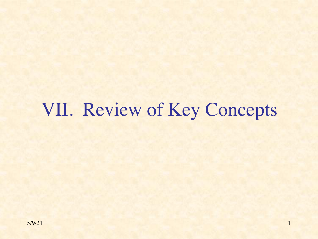# VII. Review of Key Concepts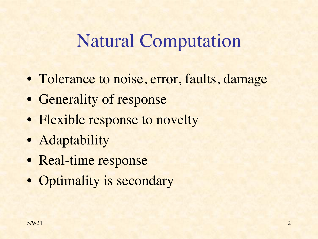### Natural Computation

- Tolerance to noise, error, faults, damage
- Generality of response
- Flexible response to novelty
- Adaptability
- Real-time response
- Optimality is secondary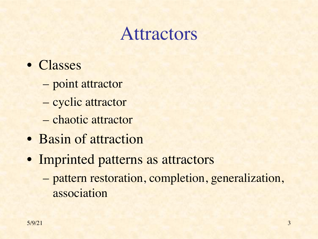### Attractors

- Classes
	- point attractor
	- cyclic attractor
	- chaotic attractor
- Basin of attraction
- Imprinted patterns as attractors
	- pattern restoration, completion, generalization, association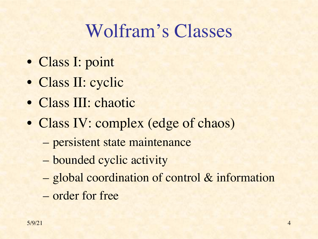# Wolfram's Classes

- Class I: point
- Class II: cyclic
- Class III: chaotic
- Class IV: complex (edge of chaos)
	- persistent state maintenance
	- bounded cyclic activity
	- global coordination of control & information
	- order for free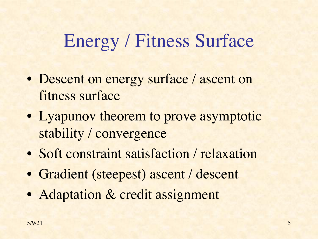# Energy / Fitness Surface

- Descent on energy surface / ascent on fitness surface
- Lyapunov theorem to prove asymptotic stability / convergence
- Soft constraint satisfaction / relaxation
- Gradient (steepest) ascent / descent
- Adaptation & credit assignment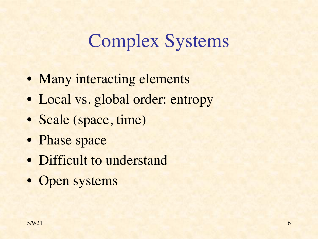## Complex Systems

- Many interacting elements
- Local vs. global order: entropy
- Scale (space, time)
- Phase space
- Difficult to understand
- Open systems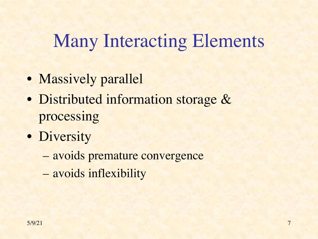### Many Interacting Elements

- Massively parallel
- Distributed information storage & processing
- Diversity
	- avoids premature convergence
	- avoids inflexibility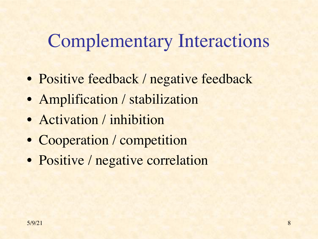# Complementary Interactions

- Positive feedback / negative feedback
- Amplification / stabilization
- Activation / inhibition
- Cooperation / competition
- Positive / negative correlation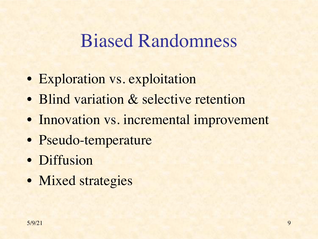#### Biased Randomness

- Exploration vs. exploitation
- Blind variation & selective retention
- Innovation vs. incremental improvement
- Pseudo-temperature
- Diffusion
- Mixed strategies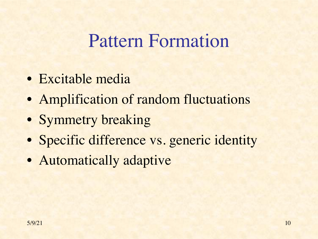#### Pattern Formation

- Excitable media
- Amplification of random fluctuations
- Symmetry breaking
- Specific difference vs. generic identity
- Automatically adaptive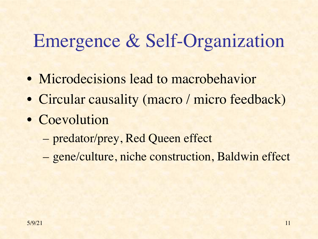# Emergence & Self-Organization

- Microdecisions lead to macrobehavior
- Circular causality (macro / micro feedback)
- Coevolution
	- predator/prey, Red Queen effect
	- gene/culture, niche construction, Baldwin effect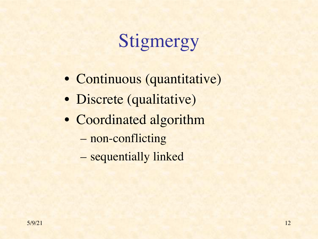# Stigmergy

- Continuous (quantitative)
- Discrete (qualitative)
- Coordinated algorithm
	- non-conflicting
	- sequentially linked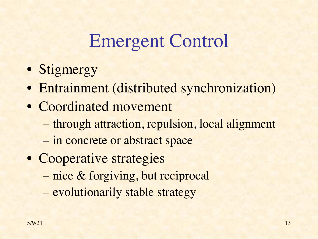### Emergent Control

- Stigmergy
- Entrainment (distributed synchronization)
- Coordinated movement
	- through attraction, repulsion, local alignment
	- in concrete or abstract space
- Cooperative strategies – nice & forgiving, but reciprocal – evolutionarily stable strategy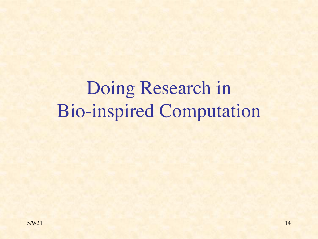Doing Research in Bio-inspired Computation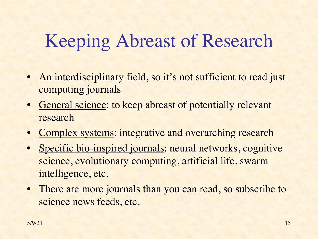# Keeping Abreast of Research

- An interdisciplinary field, so it's not sufficient to read just computing journals
- General science: to keep abreast of potentially relevant research
- Complex systems: integrative and overarching research
- Specific bio-inspired journals: neural networks, cognitive science, evolutionary computing, artificial life, swarm intelligence, etc.
- There are more journals than you can read, so subscribe to science news feeds, etc.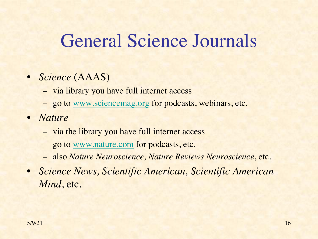# [General S](http://www.nature.com)cience Journals

- *Science* (AAAS)
	- via library you have full internet access
	- go to www.sciencemag.org for podcasts, webinars, etc.
- *Nature*
	- via the library you have full internet access
	- go to www.nature.com for podcasts, etc.
	- also *Nature Neuroscience, Nature Reviews Neuroscience*, etc.
- *Science News, Scientific American, Scientific American Mind*, etc.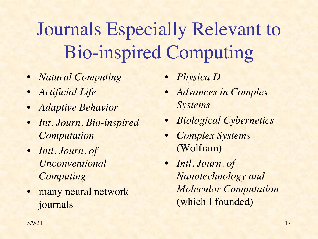Journals Especially Relevant to Bio-inspired Computing

- *Natural Computing*
- *Artificial Life*
- *Adaptive Behavior*
- *Int. Journ. Bio-inspired Computation*
- *Intl. Journ. of Unconventional Computing*
- many neural network journals
- *Physica D*
- *Advances in Complex Systems*
- *Biological Cybernetics*
- *Complex Systems*  (Wolfram)
- *Intl. Journ. of Nanotechnology and Molecular Computation* (which I founded)